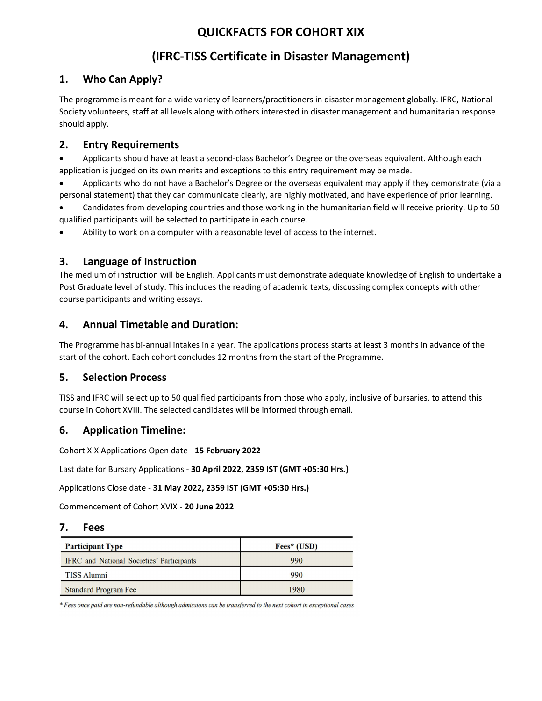# QUICKFACTS FOR COHORT XIX

# (IFRC-TISS Certificate in Disaster Management)

# 1. Who Can Apply?

The programme is meant for a wide variety of learners/practitioners in disaster management globally. IFRC, National Society volunteers, staff at all levels along with others interested in disaster management and humanitarian response should apply.

## 2. Entry Requirements

 Applicants should have at least a second-class Bachelor's Degree or the overseas equivalent. Although each application is judged on its own merits and exceptions to this entry requirement may be made.

 Applicants who do not have a Bachelor's Degree or the overseas equivalent may apply if they demonstrate (via a personal statement) that they can communicate clearly, are highly motivated, and have experience of prior learning.

 Candidates from developing countries and those working in the humanitarian field will receive priority. Up to 50 qualified participants will be selected to participate in each course.

Ability to work on a computer with a reasonable level of access to the internet.

## 3. Language of Instruction

The medium of instruction will be English. Applicants must demonstrate adequate knowledge of English to undertake a Post Graduate level of study. This includes the reading of academic texts, discussing complex concepts with other course participants and writing essays.

## 4. Annual Timetable and Duration:

The Programme has bi-annual intakes in a year. The applications process starts at least 3 months in advance of the start of the cohort. Each cohort concludes 12 months from the start of the Programme.

#### 5. Selection Process

TISS and IFRC will select up to 50 qualified participants from those who apply, inclusive of bursaries, to attend this course in Cohort XVIII. The selected candidates will be informed through email.

# 6. Application Timeline:

Cohort XIX Applications Open date - 15 February 2022

Last date for Bursary Applications - 30 April 2022, 2359 IST (GMT +05:30 Hrs.)<br>Applications Close date - 31 May 2022, 2359 IST (GMT +05:30 Hrs.)

Commencement of Cohort XVIX - 20 June 2022

#### 7. Fees

| <b>Participant Type</b>                          | Fees* (USD) |
|--------------------------------------------------|-------------|
| <b>IFRC</b> and National Societies' Participants | 990         |
| <b>TISS Alumni</b>                               | 990         |
| <b>Standard Program Fee</b>                      | 1980        |

\* Fees once paid are non-refundable although admissions can be transferred to the next cohort in exceptional cases